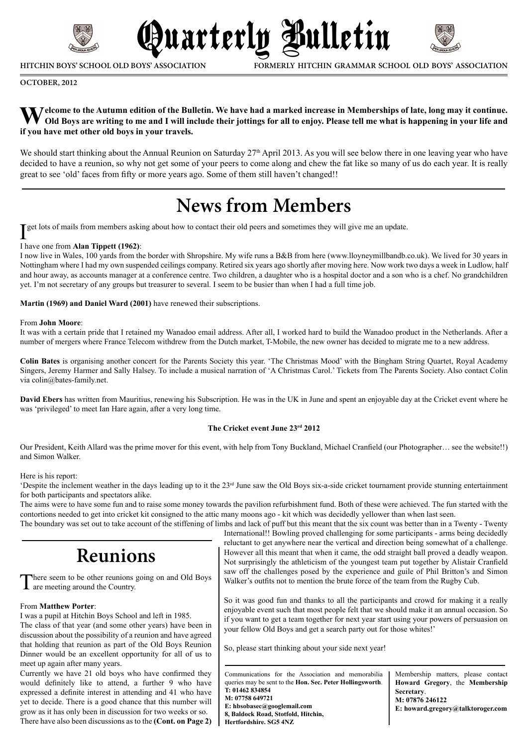

**HITCHIN BOYS' SCHOOL OLD BOYS' ASSOCIATION**

**FORMERLY HITCHIN GRAMMAR SCHOOL OLD BOYS' ASSOCIATION**

#### **October, 2012**

#### **Welcome to the Autumn edition of the Bulletin. We have had a marked increase in Memberships of late, long may it continue. Old Boys are writing to me and I will include their jottings for all to enjoy. Please tell me what is happening in your life and if you have met other old boys in your travels.**

Quarterly Bulletin

We should start thinking about the Annual Reunion on Saturday 27<sup>th</sup> April 2013. As you will see below there in one leaving year who have decided to have a reunion, so why not get some of your peers to come along and chew the fat like so many of us do each year. It is really great to see 'old' faces from fifty or more years ago. Some of them still haven't changed!!

## **News from Members**

I get lots of mails from members asking about how to contact their old peers and sometimes they will give me an update.

#### I have one from **Alan Tippett (1962)**:

I now live in Wales, 100 yards from the border with Shropshire. My wife runs a B&B from here (www.lloyneymillbandb.co.uk). We lived for 30 years in Nottingham where I had my own suspended ceilings company. Retired six years ago shortly after moving here. Now work two days a week in Ludlow, half and hour away, as accounts manager at a conference centre. Two children, a daughter who is a hospital doctor and a son who is a chef. No grandchildren yet. I'm not secretary of any groups but treasurer to several. I seem to be busier than when I had a full time job.

**Martin (1969) and Daniel Ward (2001)** have renewed their subscriptions.

#### From **John Moore**:

It was with a certain pride that I retained my Wanadoo email address. After all, I worked hard to build the Wanadoo product in the Netherlands. After a number of mergers where France Telecom withdrew from the Dutch market, T-Mobile, the new owner has decided to migrate me to a new address.

**Colin Bates** is organising another concert for the Parents Society this year. 'The Christmas Mood' with the Bingham String Quartet, Royal Academy Singers, Jeremy Harmer and Sally Halsey. To include a musical narration of 'A Christmas Carol.' Tickets from The Parents Society. Also contact Colin via colin@bates-family.net.

**David Ebers** has written from Mauritius, renewing his Subscription. He was in the UK in June and spent an enjoyable day at the Cricket event where he was 'privileged' to meet Ian Hare again, after a very long time.

#### **The Cricket event June 23rd 2012**

Our President, Keith Allard was the prime mover for this event, with help from Tony Buckland, Michael Cranfield (our Photographer… see the website!!) and Simon Walker.

#### Here is his report:

'Despite the inclement weather in the days leading up to it the  $23<sup>rd</sup>$  June saw the Old Boys six-a-side cricket tournament provide stunning entertainment for both participants and spectators alike.

The aims were to have some fun and to raise some money towards the pavilion refurbishment fund. Both of these were achieved. The fun started with the contortions needed to get into cricket kit consigned to the attic many moons ago - kit which was decidedly yellower than when last seen. The boundary was set out to take account of the stiffening of limbs and lack of puff but this meant that the six count was better than in a Twenty - Twenty

### **Reunions**

There seem to be other reunions going on and Old Boys **L** are meeting around the Country.

#### From **Matthew Porter**:

I was a pupil at Hitchin Boys School and left in 1985.

The class of that year (and some other years) have been in discussion about the possibility of a reunion and have agreed that holding that reunion as part of the Old Boys Reunion Dinner would be an excellent opportunity for all of us to meet up again after many years.

Currently we have 21 old boys who have confirmed they would definitely like to attend, a further 9 who have expressed a definite interest in attending and 41 who have yet to decide. There is a good chance that this number will grow as it has only been in discussion for two weeks or so. There have also been discussions as to the **(Cont. on Page 2)**  International!! Bowling proved challenging for some participants - arms being decidedly reluctant to get anywhere near the vertical and direction being somewhat of a challenge. However all this meant that when it came, the odd straight ball proved a deadly weapon. Not surprisingly the athleticism of the youngest team put together by Alistair Cranfield saw off the challenges posed by the experience and guile of Phil Britton's and Simon Walker's outfits not to mention the brute force of the team from the Rugby Cub.

So it was good fun and thanks to all the participants and crowd for making it a really enjoyable event such that most people felt that we should make it an annual occasion. So if you want to get a team together for next year start using your powers of persuasion on your fellow Old Boys and get a search party out for those whites!'

So, please start thinking about your side next year!

Communications for the Association and memorabilia queries may be sent to the **Hon. Sec. Peter Hollingsworth**. **T: 01462 834854 M: 07758 649721 E: hbsobasec@googlemail.com 8, Baldock Road, Stotfold, Hitchin, Hertfordshire. SG5 4NZ**

Membership matters, please contact **Howard Gregory**, the **Membership Secretary**. **M: 07876 246122 E: howard.gregory@talktoroger.com**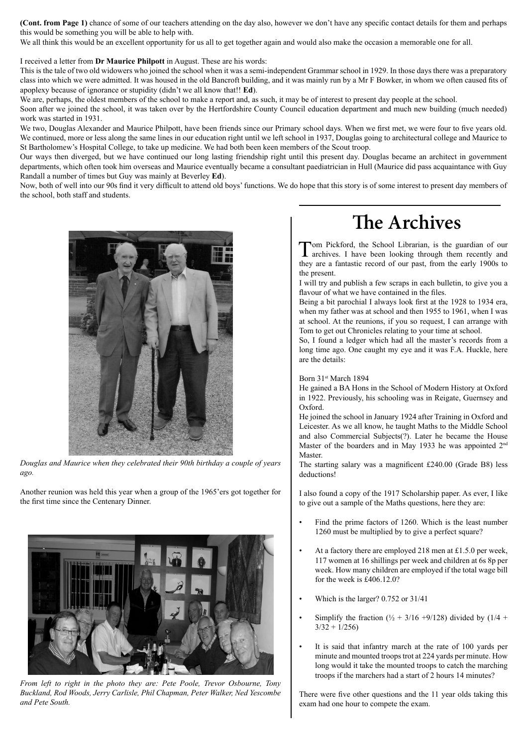**(Cont. from Page 1)** chance of some of our teachers attending on the day also, however we don't have any specific contact details for them and perhaps this would be something you will be able to help with.

We all think this would be an excellent opportunity for us all to get together again and would also make the occasion a memorable one for all.

I received a letter from **Dr Maurice Philpott** in August. These are his words:

This is the tale of two old widowers who joined the school when it was a semi-independent Grammar school in 1929. In those days there was a preparatory class into which we were admitted. It was housed in the old Bancroft building, and it was mainly run by a Mr F Bowker, in whom we often caused fits of apoplexy because of ignorance or stupidity (didn't we all know that!! **Ed**).

We are, perhaps, the oldest members of the school to make a report and, as such, it may be of interest to present day people at the school.

Soon after we joined the school, it was taken over by the Hertfordshire County Council education department and much new building (much needed) work was started in 1931.

We two, Douglas Alexander and Maurice Philpott, have been friends since our Primary school days. When we first met, we were four to five years old. We continued, more or less along the same lines in our education right until we left school in 1937, Douglas going to architectural college and Maurice to St Bartholomew's Hospital College, to take up medicine. We had both been keen members of the Scout troop.

Our ways then diverged, but we have continued our long lasting friendship right until this present day. Douglas became an architect in government departments, which often took him overseas and Maurice eventually became a consultant paediatrician in Hull (Maurice did pass acquaintance with Guy Randall a number of times but Guy was mainly at Beverley **Ed**).

Now, both of well into our 90s find it very difficult to attend old boys' functions. We do hope that this story is of some interest to present day members of the school, both staff and students.



*Douglas and Maurice when they celebrated their 90th birthday a couple of years ago.*

Another reunion was held this year when a group of the 1965'ers got together for the first time since the Centenary Dinner.



*From left to right in the photo they are: Pete Poole, Trevor Osbourne, Tony Buckland, Rod Woods, Jerry Carlisle, Phil Chapman, Peter Walker, Ned Yescombe and Pete South.*

### **The Archives**

Tom Pickford, the School Librarian, is the guardian of our archives. I have been looking through them recently and they are a fantastic record of our past, from the early 1900s to the present.

I will try and publish a few scraps in each bulletin, to give you a flavour of what we have contained in the files.

Being a bit parochial I always look first at the 1928 to 1934 era, when my father was at school and then 1955 to 1961, when I was at school. At the reunions, if you so request, I can arrange with Tom to get out Chronicles relating to your time at school.

So, I found a ledger which had all the master's records from a long time ago. One caught my eye and it was F.A. Huckle, here are the details:

#### Born 31st March 1894

He gained a BA Hons in the School of Modern History at Oxford in 1922. Previously, his schooling was in Reigate, Guernsey and Oxford.

He joined the school in January 1924 after Training in Oxford and Leicester. As we all know, he taught Maths to the Middle School and also Commercial Subjects(?). Later he became the House Master of the boarders and in May 1933 he was appointed 2nd **Master** 

The starting salary was a magnificent £240.00 (Grade B8) less deductions!

I also found a copy of the 1917 Scholarship paper. As ever, I like to give out a sample of the Maths questions, here they are:

- Find the prime factors of 1260. Which is the least number 1260 must be multiplied by to give a perfect square?
- At a factory there are employed 218 men at £1.5.0 per week, 117 women at 16 shillings per week and children at 6s 8p per week. How many children are employed if the total wage bill for the week is £406.12.0?
- Which is the larger? 0.752 or 31/41
- Simplify the fraction  $(\frac{1}{2} + \frac{3}{16} + \frac{9}{128})$  divided by  $(1/4 +$  $3/32 + 1/256$
- It is said that infantry march at the rate of 100 yards per minute and mounted troops trot at 224 yards per minute. How long would it take the mounted troops to catch the marching troops if the marchers had a start of 2 hours 14 minutes?

There were five other questions and the 11 year olds taking this exam had one hour to compete the exam.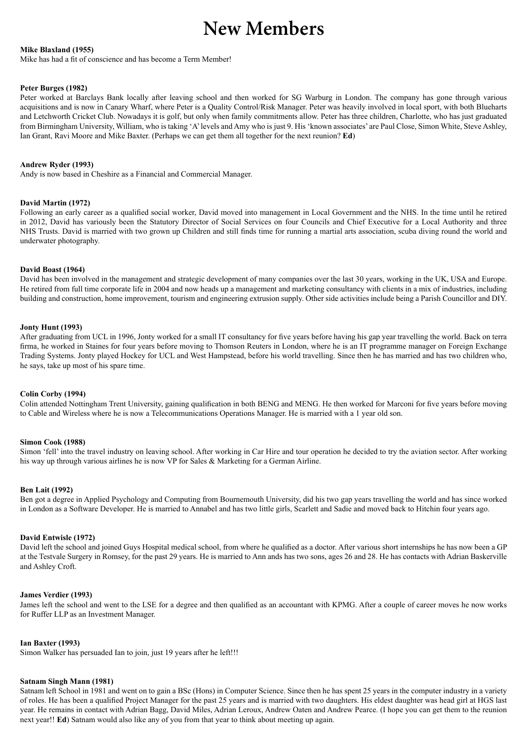### **New Members**

#### **Mike Blaxland (1955)**

Mike has had a fit of conscience and has become a Term Member!

#### **Peter Burges (1982)**

Peter worked at Barclays Bank locally after leaving school and then worked for SG Warburg in London. The company has gone through various acquisitions and is now in Canary Wharf, where Peter is a Quality Control/Risk Manager. Peter was heavily involved in local sport, with both Blueharts and Letchworth Cricket Club. Nowadays it is golf, but only when family commitments allow. Peter has three children, Charlotte, who has just graduated from Birmingham University, William, who is taking 'A' levels and Amy who is just 9. His 'known associates' are Paul Close, Simon White, Steve Ashley, Ian Grant, Ravi Moore and Mike Baxter. (Perhaps we can get them all together for the next reunion? **Ed**)

#### **Andrew Ryder (1993)**

Andy is now based in Cheshire as a Financial and Commercial Manager.

#### **David Martin (1972)**

Following an early career as a qualified social worker, David moved into management in Local Government and the NHS. In the time until he retired in 2012, David has variously been the Statutory Director of Social Services on four Councils and Chief Executive for a Local Authority and three NHS Trusts. David is married with two grown up Children and still finds time for running a martial arts association, scuba diving round the world and underwater photography.

#### **David Boast (1964)**

David has been involved in the management and strategic development of many companies over the last 30 years, working in the UK, USA and Europe. He retired from full time corporate life in 2004 and now heads up a management and marketing consultancy with clients in a mix of industries, including building and construction, home improvement, tourism and engineering extrusion supply. Other side activities include being a Parish Councillor and DIY.

#### **Jonty Hunt (1993)**

After graduating from UCL in 1996, Jonty worked for a small IT consultancy for five years before having his gap year travelling the world. Back on terra firma, he worked in Staines for four years before moving to Thomson Reuters in London, where he is an IT programme manager on Foreign Exchange Trading Systems. Jonty played Hockey for UCL and West Hampstead, before his world travelling. Since then he has married and has two children who, he says, take up most of his spare time.

#### **Colin Corby (1994)**

Colin attended Nottingham Trent University, gaining qualification in both BENG and MENG. He then worked for Marconi for five years before moving to Cable and Wireless where he is now a Telecommunications Operations Manager. He is married with a 1 year old son.

#### **Simon Cook (1988)**

Simon 'fell' into the travel industry on leaving school. After working in Car Hire and tour operation he decided to try the aviation sector. After working his way up through various airlines he is now VP for Sales & Marketing for a German Airline.

#### **Ben Lait (1992)**

Ben got a degree in Applied Psychology and Computing from Bournemouth University, did his two gap years travelling the world and has since worked in London as a Software Developer. He is married to Annabel and has two little girls, Scarlett and Sadie and moved back to Hitchin four years ago.

#### **David Entwisle (1972)**

David left the school and joined Guys Hospital medical school, from where he qualified as a doctor. After various short internships he has now been a GP at the Testvale Surgery in Romsey, for the past 29 years. He is married to Ann ands has two sons, ages 26 and 28. He has contacts with Adrian Baskerville and Ashley Croft.

#### **James Verdier (1993)**

James left the school and went to the LSE for a degree and then qualified as an accountant with KPMG. After a couple of career moves he now works for Ruffer LLP as an Investment Manager.

#### **Ian Baxter (1993)**

Simon Walker has persuaded Ian to join, just 19 years after he left!!!

#### **Satnam Singh Mann (1981)**

Satnam left School in 1981 and went on to gain a BSc (Hons) in Computer Science. Since then he has spent 25 years in the computer industry in a variety of roles. He has been a qualified Project Manager for the past 25 years and is married with two daughters. His eldest daughter was head girl at HGS last year. He remains in contact with Adrian Bagg, David Miles, Adrian Leroux, Andrew Oaten and Andrew Pearce. (I hope you can get them to the reunion next year!! **Ed**) Satnam would also like any of you from that year to think about meeting up again.